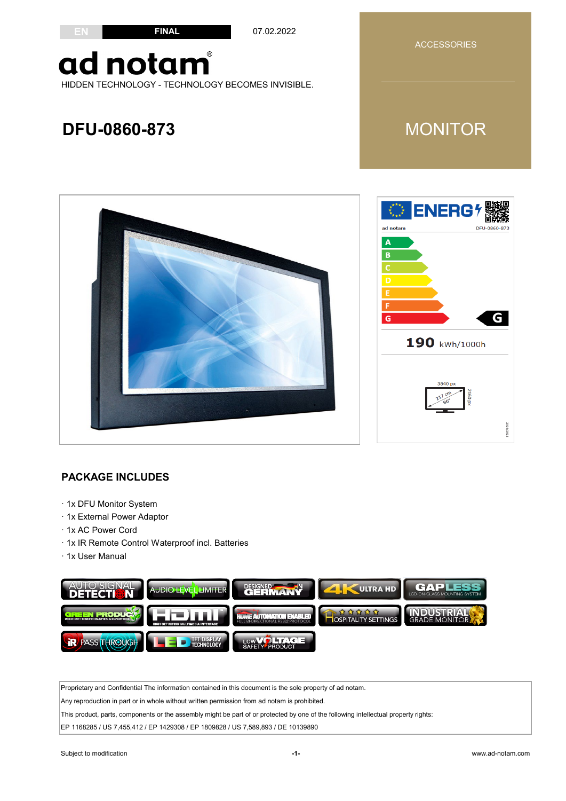#### **FINAL**

07.02.2022

ACCESSORIES

### ad notam HIDDEN TECHNOLOGY - TECHNOLOGY BECOMES INVISIBLE.

### **DFU-0860-873**

**EN**

**MONITOR** 



#### **PACKAGE INCLUDES**

- · 1x DFU Monitor System
- · 1x External Power Adaptor
- · 1x AC Power Cord
- · 1x IR Remote Control Waterproof incl. Batteries
- · 1x User Manual



Proprietary and Confidential The information contained in this document is the sole property of ad notam.

Any reproduction in part or in whole without written permission from ad notam is prohibited.

 $|\text{\texttt{T}}$ his product, parts, components or the assembly might be part of or protected by one of the following intellectual property rights:

EP 1168285 / US 7,455,412 / EP 1429308 / EP 1809828 / US 7,589,893 / DE 10139890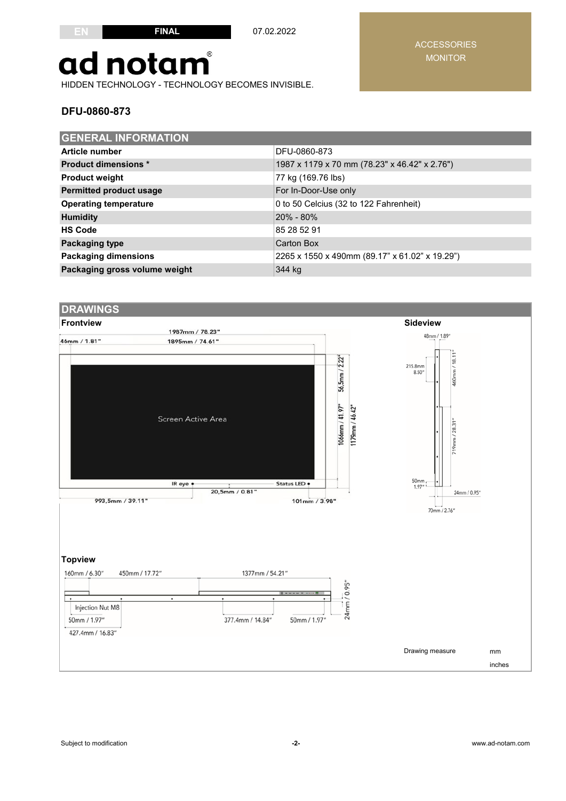**FINAL** 07.02.2022

## ad notam®

HIDDEN TECHNOLOGY - TECHNOLOGY BECOMES INVISIBLE.

#### **DFU-0860-873**

| <b>GENERAL INFORMATION</b>     |                                                |  |  |  |
|--------------------------------|------------------------------------------------|--|--|--|
| Article number                 | DFU-0860-873                                   |  |  |  |
| <b>Product dimensions *</b>    | 1987 x 1179 x 70 mm (78.23" x 46.42" x 2.76")  |  |  |  |
| <b>Product weight</b>          | 77 kg (169.76 lbs)                             |  |  |  |
| <b>Permitted product usage</b> | For In-Door-Use only                           |  |  |  |
| <b>Operating temperature</b>   | 0 to 50 Celcius (32 to 122 Fahrenheit)         |  |  |  |
| <b>Humidity</b>                | 20% - 80%                                      |  |  |  |
| <b>HS Code</b>                 | 85 28 52 91                                    |  |  |  |
| <b>Packaging type</b>          | Carton Box                                     |  |  |  |
| <b>Packaging dimensions</b>    | 2265 x 1550 x 490mm (89.17" x 61.02" x 19.29") |  |  |  |
| Packaging gross volume weight  | 344 kg                                         |  |  |  |